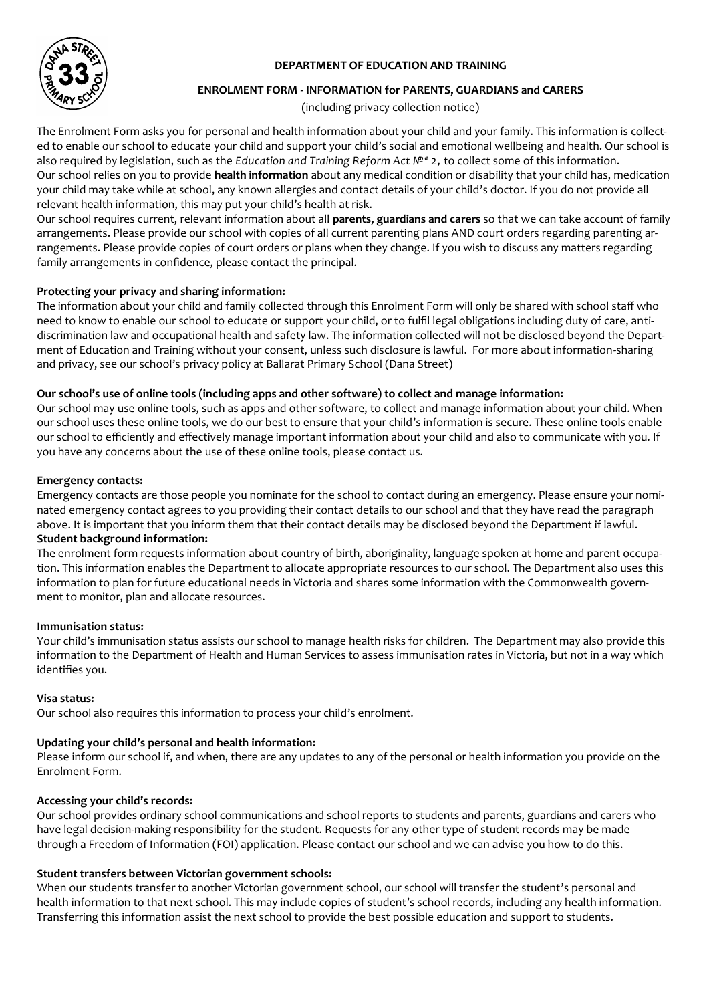## **DEPARTMENT OF EDUCATION AND TRAINING**



#### **ENROLMENT FORM - INFORMATION for PARENTS, GUARDIANS and CARERS**

(including privacy collection notice)

The Enrolment Form asks you for personal and health information about your child and your family. This information is collected to enable our school to educate your child and support your child's social and emotional wellbeing and health. Our school is also required by legislation, such as the *Education and Training Reform Act N<sup>ea</sup> 2*, to collect some of this information. Our school relies on you to provide **health information** about any medical condition or disability that your child has, medication your child may take while at school, any known allergies and contact details of your child's doctor. If you do not provide all relevant health information, this may put your child's health at risk.

Our school requires current, relevant information about all **parents, guardians and carers** so that we can take account of family arrangements. Please provide our school with copies of all current parenting plans AND court orders regarding parenting arrangements. Please provide copies of court orders or plans when they change. If you wish to discuss any matters regarding family arrangements in confidence, please contact the principal.

### **Protecting your privacy and sharing information:**

The information about your child and family collected through this Enrolment Form will only be shared with school staff who need to know to enable our school to educate or support your child, or to fulfil legal obligations including duty of care, antidiscrimination law and occupational health and safety law. The information collected will not be disclosed beyond the Department of Education and Training without your consent, unless such disclosure is lawful. For more about information-sharing and privacy, see our school's privacy policy at Ballarat Primary School (Dana Street)

### **Our school's use of online tools (including apps and other software) to collect and manage information:**

Our school may use online tools, such as apps and other software, to collect and manage information about your child. When our school uses these online tools, we do our best to ensure that your child's information is secure. These online tools enable our school to efficiently and effectively manage important information about your child and also to communicate with you. If you have any concerns about the use of these online tools, please contact us.

#### **Emergency contacts:**

Emergency contacts are those people you nominate for the school to contact during an emergency. Please ensure your nominated emergency contact agrees to you providing their contact details to our school and that they have read the paragraph above. It is important that you inform them that their contact details may be disclosed beyond the Department if lawful.

### **Student background information:**

The enrolment form requests information about country of birth, aboriginality, language spoken at home and parent occupation. This information enables the Department to allocate appropriate resources to our school. The Department also uses this information to plan for future educational needs in Victoria and shares some information with the Commonwealth government to monitor, plan and allocate resources.

#### **Immunisation status:**

Your child's immunisation status assists our school to manage health risks for children. The Department may also provide this information to the Department of Health and Human Services to assess immunisation rates in Victoria, but not in a way which identifies you.

#### **Visa status:**

Our school also requires this information to process your child's enrolment.

## **Updating your child's personal and health information:**

Please inform our school if, and when, there are any updates to any of the personal or health information you provide on the Enrolment Form.

## **Accessing your child's records:**

Our school provides ordinary school communications and school reports to students and parents, guardians and carers who have legal decision-making responsibility for the student. Requests for any other type of student records may be made through a Freedom of Information (FOI) application. Please contact our school and we can advise you how to do this.

## **Student transfers between Victorian government schools:**

When our students transfer to another Victorian government school, our school will transfer the student's personal and health information to that next school. This may include copies of student's school records, including any health information. Transferring this information assist the next school to provide the best possible education and support to students.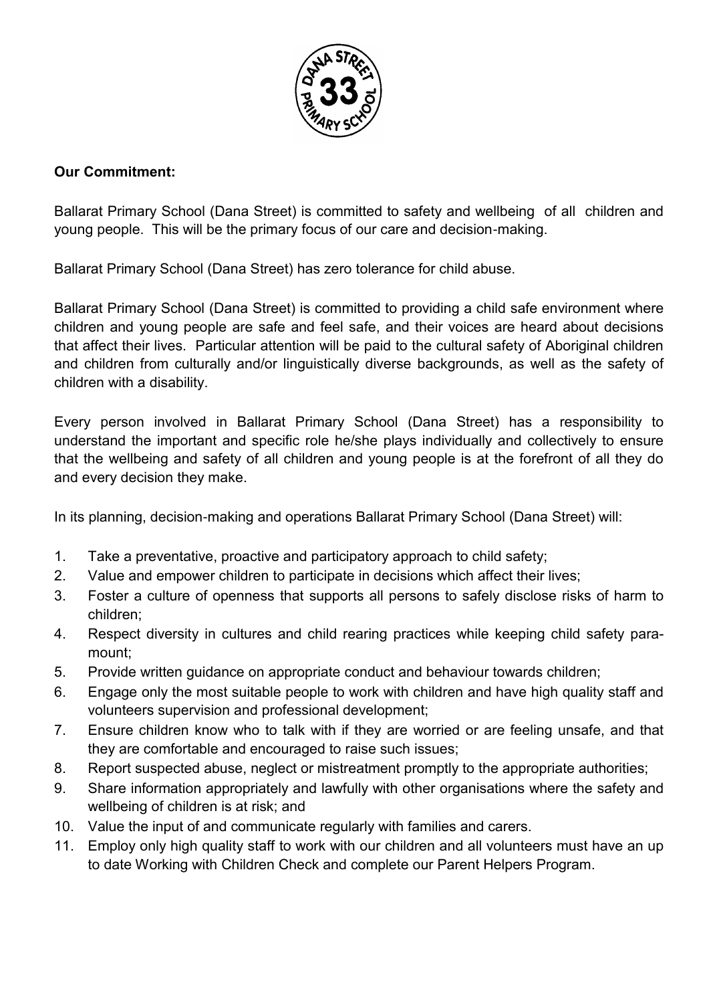

# **Our Commitment:**

Ballarat Primary School (Dana Street) is committed to safety and wellbeing of all children and young people. This will be the primary focus of our care and decision-making.

Ballarat Primary School (Dana Street) has zero tolerance for child abuse.

Ballarat Primary School (Dana Street) is committed to providing a child safe environment where children and young people are safe and feel safe, and their voices are heard about decisions that affect their lives. Particular attention will be paid to the cultural safety of Aboriginal children and children from culturally and/or linguistically diverse backgrounds, as well as the safety of children with a disability.

Every person involved in Ballarat Primary School (Dana Street) has a responsibility to understand the important and specific role he/she plays individually and collectively to ensure that the wellbeing and safety of all children and young people is at the forefront of all they do and every decision they make.

In its planning, decision-making and operations Ballarat Primary School (Dana Street) will:

- 1. Take a preventative, proactive and participatory approach to child safety;
- 2. Value and empower children to participate in decisions which affect their lives;
- 3. Foster a culture of openness that supports all persons to safely disclose risks of harm to children;
- 4. Respect diversity in cultures and child rearing practices while keeping child safety paramount;
- 5. Provide written guidance on appropriate conduct and behaviour towards children;
- 6. Engage only the most suitable people to work with children and have high quality staff and volunteers supervision and professional development;
- 7. Ensure children know who to talk with if they are worried or are feeling unsafe, and that they are comfortable and encouraged to raise such issues;
- 8. Report suspected abuse, neglect or mistreatment promptly to the appropriate authorities;
- 9. Share information appropriately and lawfully with other organisations where the safety and wellbeing of children is at risk; and
- 10. Value the input of and communicate regularly with families and carers.
- 11. Employ only high quality staff to work with our children and all volunteers must have an up to date Working with Children Check and complete our Parent Helpers Program.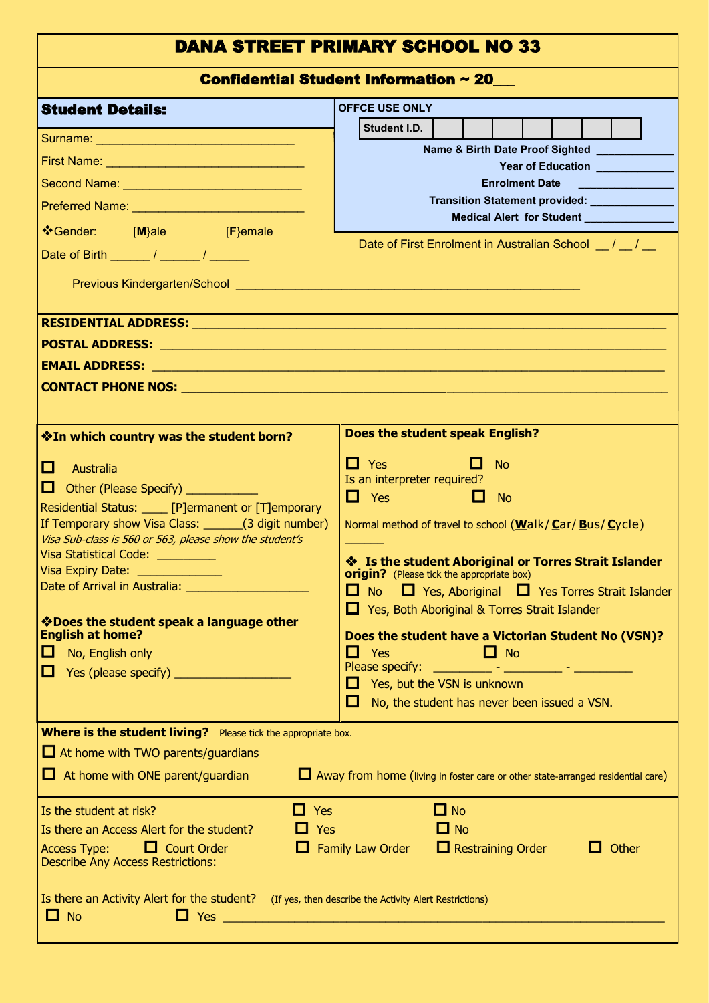# DANA STREET PRIMARY SCHOOL NO 33

Confidential Student Information ~ 20\_\_\_

|                                                                                                                                                                                                                                | Configential Stugent Information $\sim$ 20 $-$                                                                        |  |  |  |
|--------------------------------------------------------------------------------------------------------------------------------------------------------------------------------------------------------------------------------|-----------------------------------------------------------------------------------------------------------------------|--|--|--|
| <b>Student Details:</b>                                                                                                                                                                                                        | <b>OFFCE USE ONLY</b>                                                                                                 |  |  |  |
| Surname: North American Surname and American Surname and American Surname and American Surname and American Surname and American Surname and American Surname and American Surname and American Surname and American Surname a | Student I.D.                                                                                                          |  |  |  |
|                                                                                                                                                                                                                                | Name & Birth Date Proof Sighted Name & Birth Date Proof Sighted<br>Year of Education __________                       |  |  |  |
| Second Name: Name: Name (Name 2014)                                                                                                                                                                                            | <b>Enrolment Date</b>                                                                                                 |  |  |  |
| Preferred Name: Name: Name (Name Name)                                                                                                                                                                                         | Transition Statement provided: ____________                                                                           |  |  |  |
| ❖Gender: [M}ale [F}emale                                                                                                                                                                                                       | Medical Alert for Student Medical Alert 10                                                                            |  |  |  |
|                                                                                                                                                                                                                                | Date of First Enrolment in Australian School [16]                                                                     |  |  |  |
|                                                                                                                                                                                                                                |                                                                                                                       |  |  |  |
|                                                                                                                                                                                                                                |                                                                                                                       |  |  |  |
|                                                                                                                                                                                                                                |                                                                                                                       |  |  |  |
|                                                                                                                                                                                                                                |                                                                                                                       |  |  |  |
| EMAIL ADDRESS: New York State of the Communication of the Communication of the Communication of the Communication                                                                                                              |                                                                                                                       |  |  |  |
|                                                                                                                                                                                                                                |                                                                                                                       |  |  |  |
|                                                                                                                                                                                                                                | Does the student speak English?                                                                                       |  |  |  |
| <b>Vield Which country was the student born?</b>                                                                                                                                                                               |                                                                                                                       |  |  |  |
| ◘.<br>Australia                                                                                                                                                                                                                | $\Box$ Yes and $\Box$<br>$\Box$ No<br>Is an interpreter required?                                                     |  |  |  |
| <b>D</b> Other (Please Specify) <b>COVER</b>                                                                                                                                                                                   | $\Box$ Yes $\Box$ No                                                                                                  |  |  |  |
| Residential Status: ____ [P]ermanent or [T]emporary                                                                                                                                                                            |                                                                                                                       |  |  |  |
| If Temporary show Visa Class: _______(3 digit number)<br>Visa Sub-class is 560 or 563, please show the student's                                                                                                               | Normal method of travel to school $(\underline{W}$ alk/ $\underline{C}$ ar/ $\underline{B}$ us/ $\underline{C}$ ycle) |  |  |  |
| Visa Statistical Code: _________                                                                                                                                                                                               | Strait Islander and Torres Strait Islander                                                                            |  |  |  |
| Visa Expiry Date: <u>_____________</u>                                                                                                                                                                                         | <b>origin?</b> (Please tick the appropriate box)                                                                      |  |  |  |
| Date of Arrival in Australia: ______________________                                                                                                                                                                           | $\Box$ No $\Box$ Yes, Aboriginal $\Box$ Yes Torres Strait Islander                                                    |  |  |  |
| Voes the student speak a language other                                                                                                                                                                                        | $\Box$ Yes, Both Aboriginal & Torres Strait Islander                                                                  |  |  |  |
| <b>English at home?</b>                                                                                                                                                                                                        | Does the student have a Victorian Student No (VSN)?                                                                   |  |  |  |
| No, English only<br>ப                                                                                                                                                                                                          | $\Box$ Yes<br>$\Box$ No                                                                                               |  |  |  |
| ப                                                                                                                                                                                                                              | Yes, but the VSN is unknown<br>$\mathcal{L}^{\mathcal{A}}$                                                            |  |  |  |
|                                                                                                                                                                                                                                | No, the student has never been issued a VSN.<br>$\mathcal{L}_{\mathcal{A}}$                                           |  |  |  |
| <b>Where is the student living?</b> Please tick the appropriate box.                                                                                                                                                           |                                                                                                                       |  |  |  |
| $\Box$ At home with TWO parents/guardians                                                                                                                                                                                      |                                                                                                                       |  |  |  |
| $\Box$ At home with ONE parent/guardian                                                                                                                                                                                        | Away from home (living in foster care or other state-arranged residential care)                                       |  |  |  |
| $\Box$ Yes<br>Is the student at risk?                                                                                                                                                                                          | $\Box$ No                                                                                                             |  |  |  |
| Is there an Access Alert for the student?<br>Yes                                                                                                                                                                               | $\Box$ No                                                                                                             |  |  |  |
| <b>Access Type:</b><br>$\Box$ Court Order<br>ш<br><b>Describe Any Access Restrictions:</b>                                                                                                                                     | $\Box$ Restraining Order<br>Family Law Order<br>Other                                                                 |  |  |  |
| Is there an Activity Alert for the student? (If yes, then describe the Activity Alert Restrictions)                                                                                                                            |                                                                                                                       |  |  |  |
| <b>No</b><br><b>D</b>                                                                                                                                                                                                          |                                                                                                                       |  |  |  |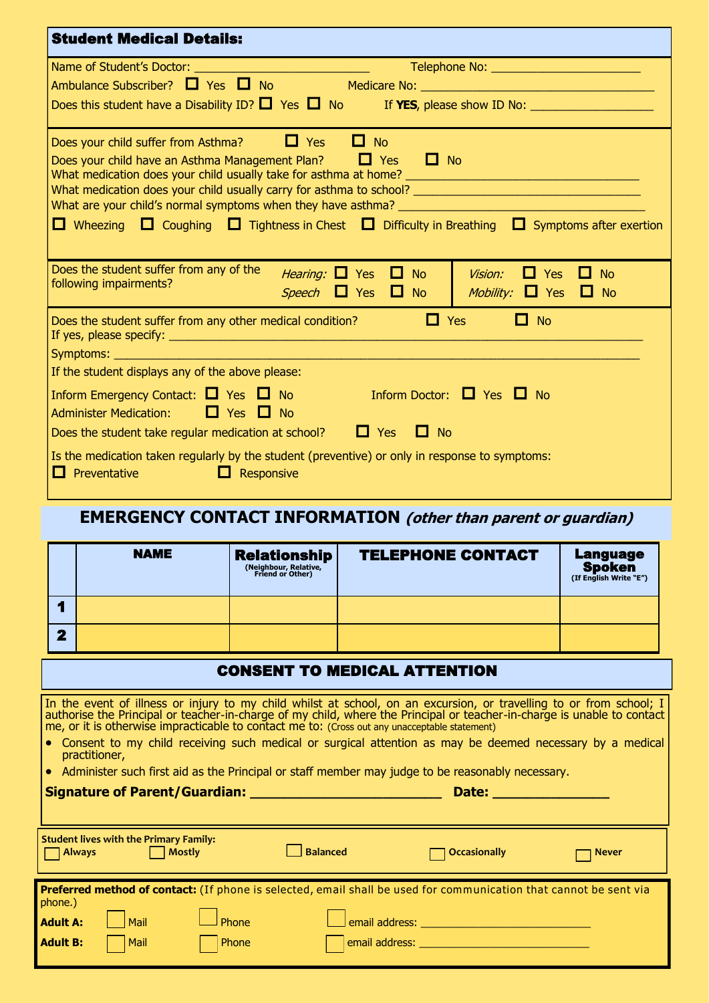| <b>Student Medical Details:</b>                                                                                                                                                                                                      |                                                            |  |  |  |  |
|--------------------------------------------------------------------------------------------------------------------------------------------------------------------------------------------------------------------------------------|------------------------------------------------------------|--|--|--|--|
|                                                                                                                                                                                                                                      |                                                            |  |  |  |  |
|                                                                                                                                                                                                                                      |                                                            |  |  |  |  |
|                                                                                                                                                                                                                                      |                                                            |  |  |  |  |
| $\Box$ Yes<br>$\Box$ No<br>Does your child suffer from Asthma?                                                                                                                                                                       |                                                            |  |  |  |  |
| Does your child have an Asthma Management Plan? $\Box$ Yes<br>$\Box$ No                                                                                                                                                              |                                                            |  |  |  |  |
| $\Box$ Wheezing $\Box$ Coughing $\Box$ Tightness in Chest $\Box$ Difficulty in Breathing $\Box$ Symptoms after exertion                                                                                                              |                                                            |  |  |  |  |
| Does the student suffer from any of the<br><i>Hearing:</i> $\Box$ Yes<br>Vision:<br>$\Box$ Yes<br>$\Box$<br><b>No</b><br>$\Box$ No<br>following impairments?<br>Speech $\Box$ Yes $\Box$ No<br><i>Mobility:</i> $\Box$ Yes $\Box$ No |                                                            |  |  |  |  |
| $\Box$ No<br>$\Box$ Yes<br>Does the student suffer from any other medical condition?                                                                                                                                                 |                                                            |  |  |  |  |
| Symptoms: _________________________<br><u> 1980 - Johann Barbara, martxa alemaniar a</u><br>If the student displays any of the above please:                                                                                         |                                                            |  |  |  |  |
| Inform Emergency Contact: $\Box$ Yes $\Box$ No Inform Doctor: $\Box$ Yes $\Box$ No<br>$\Box$ Yes $\Box$ No<br><b>Administer Medication:</b><br>Does the student take regular medication at school? $\Box$ Yes $\Box$ No              |                                                            |  |  |  |  |
| Is the medication taken regularly by the student (preventive) or only in response to symptoms:<br>$\Box$ Responsive<br>$\Box$ Preventative                                                                                           |                                                            |  |  |  |  |
| <b>EMERGENCY CONTACT INFORMATION</b> (other than parent or guardian)                                                                                                                                                                 |                                                            |  |  |  |  |
| <b>NAME</b><br><b>TELEPHONE CONTACT</b><br><b>Relationship</b><br>(Neighbour, Relative,<br>Friend or Other)                                                                                                                          | <b>Language</b><br><b>Spoken</b><br>(If English Write "E") |  |  |  |  |
| 4                                                                                                                                                                                                                                    |                                                            |  |  |  |  |
| 2                                                                                                                                                                                                                                    |                                                            |  |  |  |  |

## CONSENT TO MEDICAL ATTENTION

In the event of illness or injury to my child whilst at school, on an excursion, or travelling to or from school; I authorise the Principal or teacher-in-charge of my child, where the Principal or teacher-in-charge is unable to contact me, or it is otherwise impracticable to contact me to: (Cross out any unacceptable statement)

- Consent to my child receiving such medical or surgical attention as may be deemed necessary by a medical practitioner,
- Administer such first aid as the Principal or staff member may judge to be reasonably necessary.

# **Signature of Parent/Guardian: \_\_\_\_\_\_\_\_\_\_\_\_\_\_\_\_\_\_\_\_\_\_\_ Date: \_\_\_\_\_\_\_\_\_\_\_\_\_\_**

| <b>Always</b>   | Student lives with the Primary Family: | Mostly | Balanced       | Occasionally                                                                                                      | <b>Never</b> |
|-----------------|----------------------------------------|--------|----------------|-------------------------------------------------------------------------------------------------------------------|--------------|
| phone.)         |                                        |        |                | Preferred method of contact: (If phone is selected, email shall be used for communication that cannot be sent via |              |
| <b>Adult A:</b> | Mail                                   | Phone  | email address: |                                                                                                                   |              |
| <b>Adult B:</b> | Mail                                   | Phone  | email address: |                                                                                                                   |              |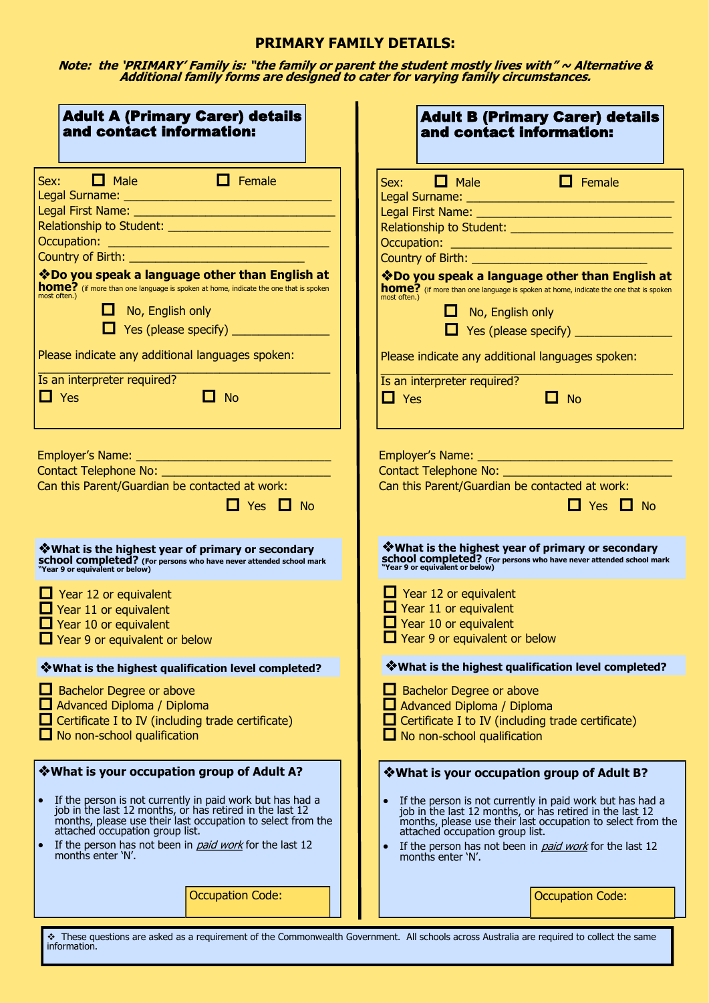## **PRIMARY FAMILY DETAILS:**

**Note: the 'PRIMARY' Family is: "the family or parent the student mostly lives with" ~ Alternative & Additional family forms are designed to cater for varying family circumstances.**

| <b>Adult A (Primary Carer) details</b>                                                                                                                                                                                                                                                                                                                                                                                                                                                                                | <b>Adult B (Primary Carer) details</b>                                                                                                                                                                                                                                                                                                                                                                                                                                                                                                                        |
|-----------------------------------------------------------------------------------------------------------------------------------------------------------------------------------------------------------------------------------------------------------------------------------------------------------------------------------------------------------------------------------------------------------------------------------------------------------------------------------------------------------------------|---------------------------------------------------------------------------------------------------------------------------------------------------------------------------------------------------------------------------------------------------------------------------------------------------------------------------------------------------------------------------------------------------------------------------------------------------------------------------------------------------------------------------------------------------------------|
| and contact information:                                                                                                                                                                                                                                                                                                                                                                                                                                                                                              | and contact information:                                                                                                                                                                                                                                                                                                                                                                                                                                                                                                                                      |
| $Sex:$ <b><math>\Box</math></b> Male<br>$\Box$ Female<br>Country of Birth: <u>____________________________</u><br>*Do you speak a language other than English at<br><b>home?</b> (if more than one language is spoken at home, indicate the one that is spoken<br>most often.)<br>$\Box$ No, English only<br>$\Box$ Yes (please specify) $\_\_\_\_\_\_\_\_\_\_\_\_\_\_\_\_\_\_\_\_\_\_\_\_\_\_\_\_\_\_$<br>Please indicate any additional languages spoken:<br>Is an interpreter required?<br>$\Box$ No<br>$\Box$ Yes | Sex: $\Box$ Male $\Box$ Female<br>Relationship to Student: <u>______________________</u> _________<br>Country of Birth: <u>__________________________</u><br>*Do you speak a language other than English at<br>home? (if more than one language is spoken at home, indicate the one that is spoken<br>most often.)<br>$\Box$ No, English only<br>$\Box$ Yes (please specify) $\_\_\_\_\_\_\_\_\_\_\_\_\_\_\_\_\_\_\_\_\_\_\_\_\_\_\_\_\_\_\_\_$<br>Please indicate any additional languages spoken:<br>Is an interpreter required?<br>$\Box$ Yes<br>$\Box$ No |
|                                                                                                                                                                                                                                                                                                                                                                                                                                                                                                                       |                                                                                                                                                                                                                                                                                                                                                                                                                                                                                                                                                               |
|                                                                                                                                                                                                                                                                                                                                                                                                                                                                                                                       |                                                                                                                                                                                                                                                                                                                                                                                                                                                                                                                                                               |
| Can this Parent/Guardian be contacted at work:                                                                                                                                                                                                                                                                                                                                                                                                                                                                        | Can this Parent/Guardian be contacted at work:                                                                                                                                                                                                                                                                                                                                                                                                                                                                                                                |
| $\Box$ Yes $\Box$ No                                                                                                                                                                                                                                                                                                                                                                                                                                                                                                  | $\Box$ Yes $\Box$ No                                                                                                                                                                                                                                                                                                                                                                                                                                                                                                                                          |
| Ve What is the highest year of primary or secondary                                                                                                                                                                                                                                                                                                                                                                                                                                                                   | <b>What is the highest year of primary or secondary</b>                                                                                                                                                                                                                                                                                                                                                                                                                                                                                                       |
| <b>school completed?</b> (For persons who have never attended school mark<br>"Year 9 or equivalent or below)                                                                                                                                                                                                                                                                                                                                                                                                          | <b>school completed?</b> (For persons who have never attended school mark<br>"Year 9 or equivalent or below)                                                                                                                                                                                                                                                                                                                                                                                                                                                  |
| $\Box$ Year 12 or equivalent                                                                                                                                                                                                                                                                                                                                                                                                                                                                                          | $\Box$ Year 12 or equivalent                                                                                                                                                                                                                                                                                                                                                                                                                                                                                                                                  |
| $\Box$ Year 11 or equivalent                                                                                                                                                                                                                                                                                                                                                                                                                                                                                          | $\Box$ Year 11 or equivalent                                                                                                                                                                                                                                                                                                                                                                                                                                                                                                                                  |
| $\Box$ Year 10 or equivalent                                                                                                                                                                                                                                                                                                                                                                                                                                                                                          | $\Box$ Year 10 or equivalent                                                                                                                                                                                                                                                                                                                                                                                                                                                                                                                                  |
| Year 9 or equivalent or below                                                                                                                                                                                                                                                                                                                                                                                                                                                                                         | $\Box$ Year 9 or equivalent or below                                                                                                                                                                                                                                                                                                                                                                                                                                                                                                                          |
| * What is the highest qualification level completed?                                                                                                                                                                                                                                                                                                                                                                                                                                                                  | * What is the highest qualification level completed?                                                                                                                                                                                                                                                                                                                                                                                                                                                                                                          |
| $\Box$ Bachelor Degree or above                                                                                                                                                                                                                                                                                                                                                                                                                                                                                       | Bachelor Degree or above                                                                                                                                                                                                                                                                                                                                                                                                                                                                                                                                      |
| $\Box$ Advanced Diploma / Diploma                                                                                                                                                                                                                                                                                                                                                                                                                                                                                     | Advanced Diploma / Diploma                                                                                                                                                                                                                                                                                                                                                                                                                                                                                                                                    |
| $\Box$ Certificate I to IV (including trade certificate)                                                                                                                                                                                                                                                                                                                                                                                                                                                              | Certificate I to IV (including trade certificate)                                                                                                                                                                                                                                                                                                                                                                                                                                                                                                             |
| $\Box$ No non-school qualification                                                                                                                                                                                                                                                                                                                                                                                                                                                                                    | No non-school qualification                                                                                                                                                                                                                                                                                                                                                                                                                                                                                                                                   |
| *What is your occupation group of Adult A?<br>If the person is not currently in paid work but has had a<br>job in the last 12 months, or has retired in the last 12<br>months, please use their last occupation to select from the<br>attached occupation group list.<br>If the person has not been in <i>paid work</i> for the last 12<br>$\bullet$<br>months enter 'N'.                                                                                                                                             | *What is your occupation group of Adult B?<br>If the person is not currently in paid work but has had a<br>job in the last 12 months, or has retired in the last 12<br>months, please use their last occupation to select from the<br>attached occupation group list.<br>If the person has not been in <i>paid work</i> for the last 12<br>months enter 'N'.                                                                                                                                                                                                  |
| <b>Occupation Code:</b>                                                                                                                                                                                                                                                                                                                                                                                                                                                                                               | <b>Occupation Code:</b>                                                                                                                                                                                                                                                                                                                                                                                                                                                                                                                                       |
| These questions are asked as a requirement of the Commonwealth Government. All schools across Australia are required to collect the same                                                                                                                                                                                                                                                                                                                                                                              |                                                                                                                                                                                                                                                                                                                                                                                                                                                                                                                                                               |

 These questions are asked as a requirement of the Commonwealth Government. All schools across Australia are required to collect the same information.